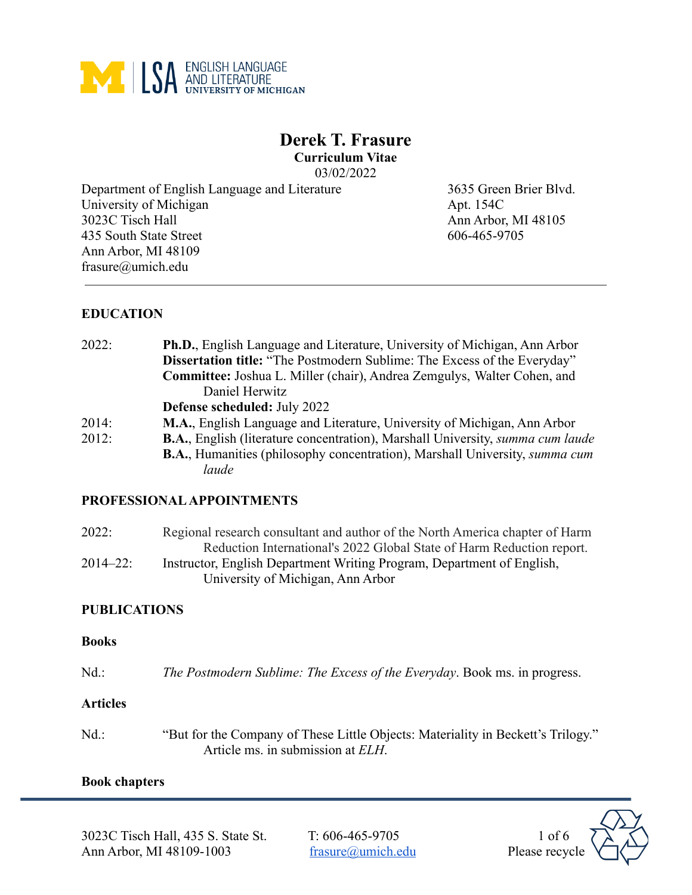

# **Derek T. Frasure Curriculum Vitae**

03/02/2022

Department of English Language and Literature 3635 Green Brier Blvd. University of Michigan Apt. 154C 3023C Tisch Hall Ann Arbor, MI 48105 435 South State Street 606-465-9705 Ann Arbor, MI 48109 frasure@umich.edu

## **EDUCATION**

| 2022: | Ph.D., English Language and Literature, University of Michigan, Ann Arbor                     |
|-------|-----------------------------------------------------------------------------------------------|
|       | Dissertation title: "The Postmodern Sublime: The Excess of the Everyday"                      |
|       | Committee: Joshua L. Miller (chair), Andrea Zemgulys, Walter Cohen, and                       |
|       | Daniel Herwitz                                                                                |
|       | Defense scheduled: July 2022                                                                  |
| 2014: | M.A., English Language and Literature, University of Michigan, Ann Arbor                      |
| 2012: | <b>B.A.</b> , English (literature concentration), Marshall University, <i>summa cum laude</i> |
|       | <b>B.A.</b> , Humanities (philosophy concentration), Marshall University, <i>summa cum</i>    |
|       | laude                                                                                         |

## **PROFESSIONAL APPOINTMENTS**

| 2022:         | Regional research consultant and author of the North America chapter of Harm |
|---------------|------------------------------------------------------------------------------|
|               | Reduction International's 2022 Global State of Harm Reduction report.        |
| $2014 - 22$ : | Instructor, English Department Writing Program, Department of English,       |
|               | University of Michigan, Ann Arbor                                            |

### **PUBLICATIONS**

#### **Books**

Nd.: *The Postmodern Sublime: The Excess of the Everyday*. Book ms. in progress.

## **Articles**

Nd.: "But for the Company of These Little Objects: Materiality in Beckett's Trilogy." Article ms. in submission at *ELH*.

### **Book chapters**

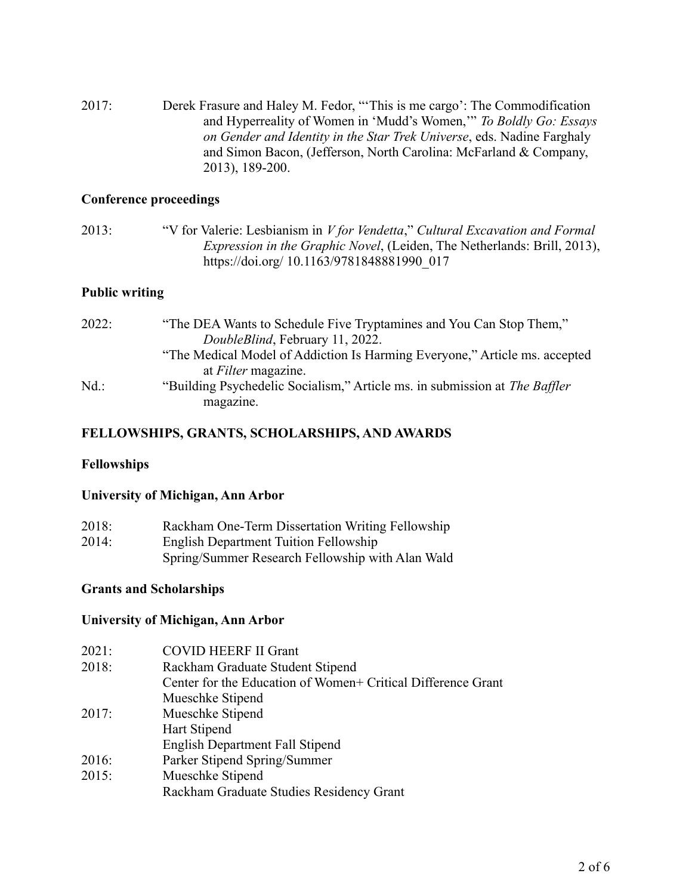2017: Derek Frasure and Haley M. Fedor, "'This is me cargo': The Commodification and Hyperreality of Women in 'Mudd's Women,'" *To Boldly Go: Essays on Gender and Identity in the Star Trek Universe*, eds. Nadine Farghaly and Simon Bacon, (Jefferson, North Carolina: McFarland & Company, 2013), 189-200.

#### **Conference proceedings**

2013: "V for Valerie: Lesbianism in *V for Vendetta*," *Cultural Excavation and Formal Expression in the Graphic Novel*, (Leiden, The Netherlands: Brill, 2013), https://doi.org/ 10.1163/9781848881990\_017

### **Public writing**

| "The DEA Wants to Schedule Five Tryptamines and You Can Stop Them,"                            |
|------------------------------------------------------------------------------------------------|
| DoubleBlind, February 11, 2022.                                                                |
| "The Medical Model of Addiction Is Harming Everyone," Article ms. accepted                     |
| at <i>Filter</i> magazine.                                                                     |
| "Building Psychedelic Socialism," Article ms. in submission at <i>The Baffler</i><br>magazine. |
|                                                                                                |

### **FELLOWSHIPS, GRANTS, SCHOLARSHIPS, AND AWARDS**

#### **Fellowships**

#### **University of Michigan, Ann Arbor**

| 2018: | Rackham One-Term Dissertation Writing Fellowship |
|-------|--------------------------------------------------|
| 2014: | <b>English Department Tuition Fellowship</b>     |
|       | Spring/Summer Research Fellowship with Alan Wald |

### **Grants and Scholarships**

### **University of Michigan, Ann Arbor**

| 2021: | <b>COVID HEERF II Grant</b>                                  |
|-------|--------------------------------------------------------------|
| 2018: | Rackham Graduate Student Stipend                             |
|       | Center for the Education of Women+ Critical Difference Grant |
|       | Mueschke Stipend                                             |
| 2017: | Mueschke Stipend                                             |
|       | Hart Stipend                                                 |
|       | <b>English Department Fall Stipend</b>                       |
| 2016: | Parker Stipend Spring/Summer                                 |
| 2015: | Mueschke Stipend                                             |
|       | Rackham Graduate Studies Residency Grant                     |
|       |                                                              |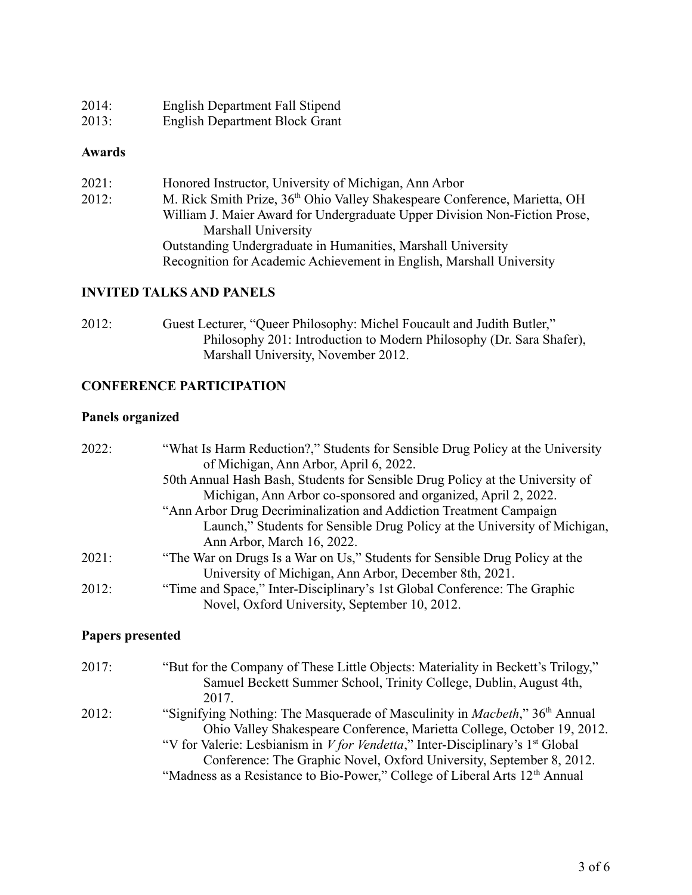| 2014: | English Department Fall Stipend |
|-------|---------------------------------|
| 2013: | English Department Block Grant  |

#### **Awards**

| 2021: | Honored Instructor, University of Michigan, Ann Arbor                                  |
|-------|----------------------------------------------------------------------------------------|
| 2012: | M. Rick Smith Prize, 36 <sup>th</sup> Ohio Valley Shakespeare Conference, Marietta, OH |
|       | William J. Maier Award for Undergraduate Upper Division Non-Fiction Prose,             |
|       | Marshall University                                                                    |
|       | Outstanding Undergraduate in Humanities, Marshall University                           |
|       | Recognition for Academic Achievement in English, Marshall University                   |

### **INVITED TALKS AND PANELS**

2012: Guest Lecturer, "Queer Philosophy: Michel Foucault and Judith Butler," Philosophy 201: Introduction to Modern Philosophy (Dr. Sara Shafer), Marshall University, November 2012.

## **CONFERENCE PARTICIPATION**

#### **Panels organized**

| "What Is Harm Reduction?," Students for Sensible Drug Policy at the University<br>of Michigan, Ann Arbor, April 6, 2022.   |
|----------------------------------------------------------------------------------------------------------------------------|
| 50th Annual Hash Bash, Students for Sensible Drug Policy at the University of                                              |
| Michigan, Ann Arbor co-sponsored and organized, April 2, 2022.                                                             |
| "Ann Arbor Drug Decriminalization and Addiction Treatment Campaign                                                         |
| Launch," Students for Sensible Drug Policy at the University of Michigan,                                                  |
| Ann Arbor, March 16, 2022.                                                                                                 |
| "The War on Drugs Is a War on Us," Students for Sensible Drug Policy at the                                                |
| University of Michigan, Ann Arbor, December 8th, 2021.                                                                     |
| "Time and Space," Inter-Disciplinary's 1st Global Conference: The Graphic<br>Novel, Oxford University, September 10, 2012. |
|                                                                                                                            |

## **Papers presented**

| 2017: | "But for the Company of These Little Objects: Materiality in Beckett's Trilogy,"                |
|-------|-------------------------------------------------------------------------------------------------|
|       | Samuel Beckett Summer School, Trinity College, Dublin, August 4th,                              |
|       | 2017                                                                                            |
| 2012: | "Signifying Nothing: The Masquerade of Masculinity in <i>Macbeth</i> ," 36 <sup>th</sup> Annual |
|       | Ohio Valley Shakespeare Conference, Marietta College, October 19, 2012.                         |
|       | "V for Valerie: Lesbianism in <i>V for Vendetta</i> ," Inter-Disciplinary's $1st$ Global        |
|       | Conference: The Graphic Novel, Oxford University, September 8, 2012.                            |
|       | "Madness as a Resistance to Bio-Power," College of Liberal Arts 12 <sup>th</sup> Annual         |
|       |                                                                                                 |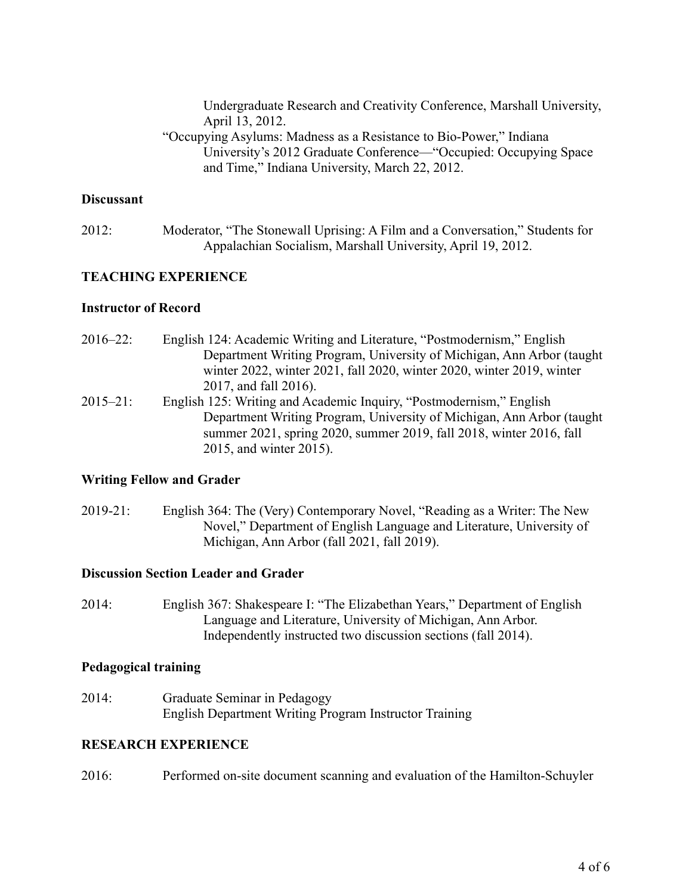Undergraduate Research and Creativity Conference, Marshall University, April 13, 2012.

"Occupying Asylums: Madness as a Resistance to Bio-Power," Indiana University's 2012 Graduate Conference—"Occupied: Occupying Space and Time," Indiana University, March 22, 2012.

#### **Discussant**

2012: Moderator, "The Stonewall Uprising: A Film and a Conversation," Students for Appalachian Socialism, Marshall University, April 19, 2012.

#### **TEACHING EXPERIENCE**

#### **Instructor of Record**

- 2016–22: English 124: Academic Writing and Literature, "Postmodernism," English Department Writing Program, University of Michigan, Ann Arbor (taught winter 2022, winter 2021, fall 2020, winter 2020, winter 2019, winter 2017, and fall 2016). 2015–21: English 125: Writing and Academic Inquiry, "Postmodernism," English
- Department Writing Program, University of Michigan, Ann Arbor (taught summer 2021, spring 2020, summer 2019, fall 2018, winter 2016, fall 2015, and winter 2015).

#### **Writing Fellow and Grader**

2019-21: English 364: The (Very) Contemporary Novel, "Reading as a Writer: The New Novel," Department of English Language and Literature, University of Michigan, Ann Arbor (fall 2021, fall 2019).

#### **Discussion Section Leader and Grader**

2014: English 367: Shakespeare I: "The Elizabethan Years," Department of English Language and Literature, University of Michigan, Ann Arbor. Independently instructed two discussion sections (fall 2014).

#### **Pedagogical training**

2014: Graduate Seminar in Pedagogy English Department Writing Program Instructor Training

#### **RESEARCH EXPERIENCE**

2016: Performed on-site document scanning and evaluation of the Hamilton-Schuyler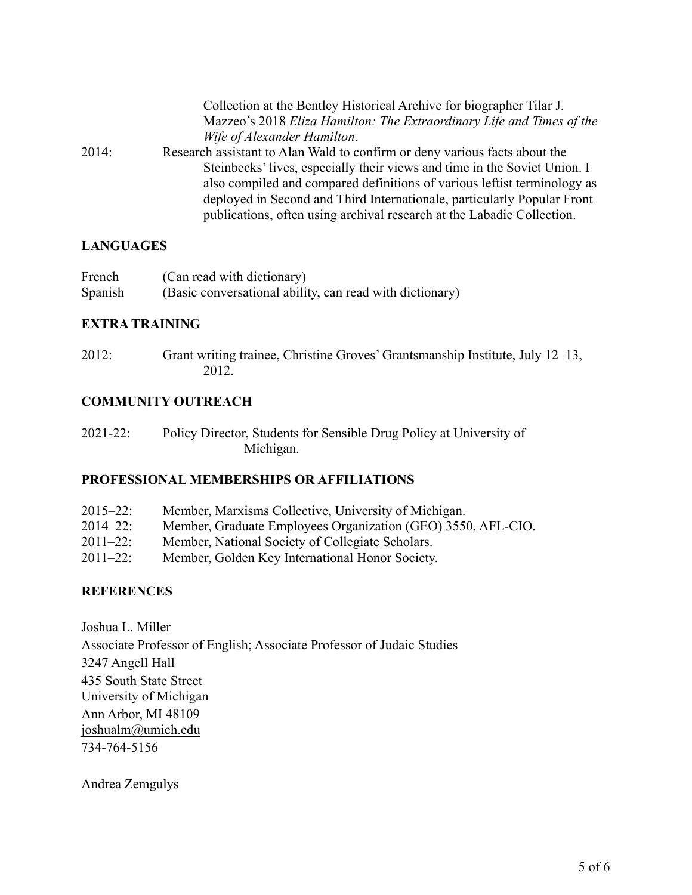|       | Collection at the Bentley Historical Archive for biographer Tilar J.       |
|-------|----------------------------------------------------------------------------|
|       | Mazzeo's 2018 Eliza Hamilton: The Extraordinary Life and Times of the      |
|       | Wife of Alexander Hamilton.                                                |
| 2014: | Research assistant to Alan Wald to confirm or deny various facts about the |
|       | Steinbecks' lives, especially their views and time in the Soviet Union. I  |
|       | also compiled and compared definitions of various left ist terminology as  |
|       | deployed in Second and Third Internationale, particularly Popular Front    |
|       | publications, often using archival research at the Labadie Collection.     |

## **LANGUAGES**

| French  | (Can read with dictionary)                               |
|---------|----------------------------------------------------------|
| Spanish | (Basic conversational ability, can read with dictionary) |

## **EXTRA TRAINING**

2012: Grant writing trainee, Christine Groves' Grantsmanship Institute, July 12–13, 2012.

## **COMMUNITY OUTREACH**

| $2021 - 22$ : | Policy Director, Students for Sensible Drug Policy at University of |
|---------------|---------------------------------------------------------------------|
|               | Michigan.                                                           |

## **PROFESSIONAL MEMBERSHIPS OR AFFILIATIONS**

| $2015 - 22$ : | Member, Marxisms Collective, University of Michigan.         |
|---------------|--------------------------------------------------------------|
| $2014 - 22$ : | Member, Graduate Employees Organization (GEO) 3550, AFL-CIO. |
| $2011 - 22$ : | Member, National Society of Collegiate Scholars.             |
| $2011 - 22$ : | Member, Golden Key International Honor Society.              |

## **REFERENCES**

Joshua L. Miller Associate Professor of English; Associate Professor of Judaic Studies 3247 Angell Hall 435 South State Street University of Michigan Ann Arbor, MI 48109 [joshualm@umich.edu](mailto:joshualm@umich.edu) 734-764-5156

Andrea Zemgulys